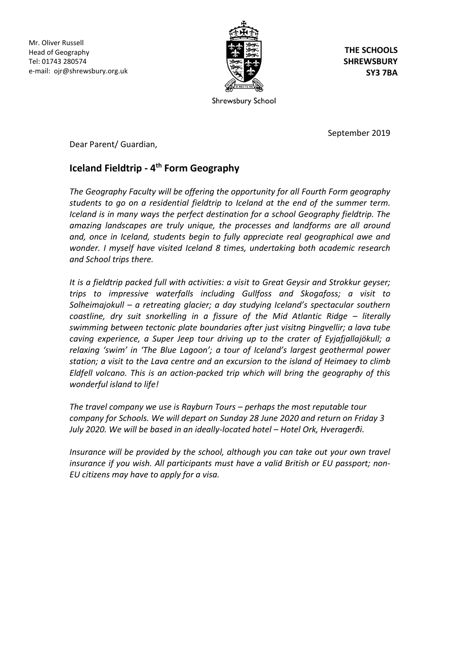

**THE SCHOOLS SHREWSBURY SY3 7BA**

Shrewsbury School

September 2019

Dear Parent/ Guardian,

# **Iceland Fieldtrip - 4 th Form Geography**

*The Geography Faculty will be offering the opportunity for all Fourth Form geography students to go on a residential fieldtrip to Iceland at the end of the summer term. Iceland is in many ways the perfect destination for a school Geography fieldtrip. The amazing landscapes are truly unique, the processes and landforms are all around and, once in Iceland, students begin to fully appreciate real geographical awe and wonder. I myself have visited Iceland 8 times, undertaking both academic research and School trips there.*

*It is a fieldtrip packed full with activities: a visit to Great Geysir and Strokkur geyser; trips to impressive waterfalls including Gullfoss and Skogafoss; a visit to Solheimajokull – a retreating glacier; a day studying Iceland's spectacular southern coastline, dry suit snorkelling in a fissure of the Mid Atlantic Ridge – literally swimming between tectonic plate boundaries after just visitng Þingvellir; a lava tube caving experience, a Super Jeep tour driving up to the crater of Eyjafjallajökull; a relaxing 'swim' in 'The Blue Lagoon'; a tour of Iceland's largest geothermal power station; a visit to the Lava centre and an excursion to the island of Heimaey to climb Eldfell volcano. This is an action-packed trip which will bring the geography of this wonderful island to life!*

*The travel company we use is Rayburn Tours – perhaps the most reputable tour company for Schools. We will depart on Sunday 28 June 2020 and return on Friday 3 July 2020. We will be based in an ideally-located hotel – Hotel Ork, Hveragerði.* 

*Insurance will be provided by the school, although you can take out your own travel insurance if you wish. All participants must have a valid British or EU passport; non-EU citizens may have to apply for a visa.*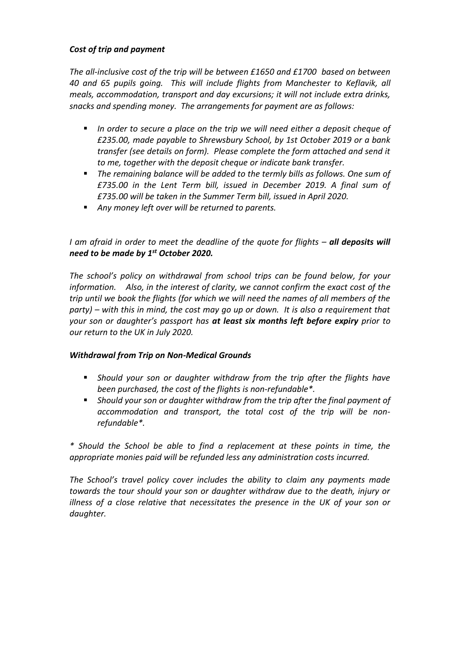## *Cost of trip and payment*

*The all-inclusive cost of the trip will be between £1650 and £1700 based on between 40 and 65 pupils going. This will include flights from Manchester to Keflavik, all meals, accommodation, transport and day excursions; it will not include extra drinks, snacks and spending money. The arrangements for payment are as follows:*

- *In order to secure a place on the trip we will need either a deposit cheque of £235.00, made payable to Shrewsbury School, by 1st October 2019 or a bank transfer (see details on form). Please complete the form attached and send it to me, together with the deposit cheque or indicate bank transfer.*
- The remaining balance will be added to the *termly bills as follows. One sum of £735.00 in the Lent Term bill, issued in December 2019. A final sum of £735.00 will be taken in the Summer Term bill, issued in April 2020.*
- *Any money left over will be returned to parents.*

*I am afraid in order to meet the deadline of the quote for flights – all deposits will need to be made by 1st October 2020.*

*The school's policy on withdrawal from school trips can be found below, for your information. Also, in the interest of clarity, we cannot confirm the exact cost of the trip until we book the flights (for which we will need the names of all members of the party) – with this in mind, the cost may go up or down. It is also a requirement that your son or daughter's passport has at least six months left before expiry prior to our return to the UK in July 2020.*

## *Withdrawal from Trip on Non-Medical Grounds*

- *Should your son or daughter withdraw from the trip after the flights have been purchased, the cost of the flights is non-refundable\*.*
- Should your son or daughter withdraw from the trip after the final payment of *accommodation and transport, the total cost of the trip will be nonrefundable\*.*

*\* Should the School be able to find a replacement at these points in time, the appropriate monies paid will be refunded less any administration costs incurred.*

*The School's travel policy cover includes the ability to claim any payments made towards the tour should your son or daughter withdraw due to the death, injury or illness of a close relative that necessitates the presence in the UK of your son or daughter.*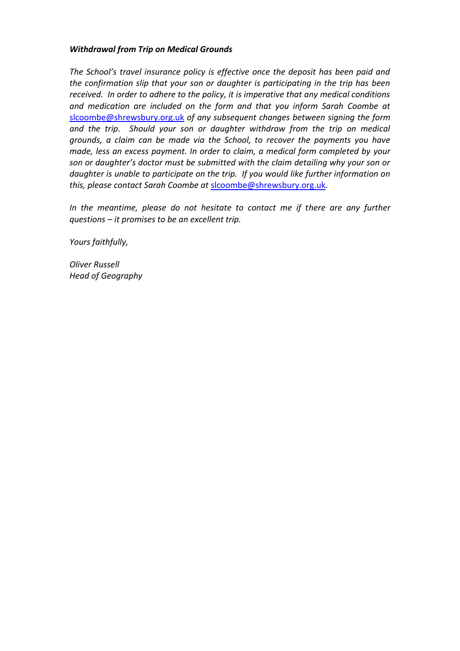### *Withdrawal from Trip on Medical Grounds*

*The School's travel insurance policy is effective once the deposit has been paid and the confirmation slip that your son or daughter is participating in the trip has been received. In order to adhere to the policy, it is imperative that any medical conditions and medication are included on the form and that you inform Sarah Coombe at*  [slcoombe@shrewsbury.org.uk](mailto:slcoombe@shrewsbury.org.uk) *of any subsequent changes between signing the form and the trip. Should your son or daughter withdraw from the trip on medical grounds, a claim can be made via the School, to recover the payments you have made, less an excess payment. In order to claim, a medical form completed by your son or daughter's doctor must be submitted with the claim detailing why your son or daughter is unable to participate on the trip. If you would like further information on this, please contact Sarah Coombe at* [slcoombe@shrewsbury.org.uk](mailto:slcoombe@shrewsbury.org.uk)*.*

In the meantime, please do not hesitate to contact me if there are any further *questions – it promises to be an excellent trip.* 

*Yours faithfully,*

*Oliver Russell Head of Geography*